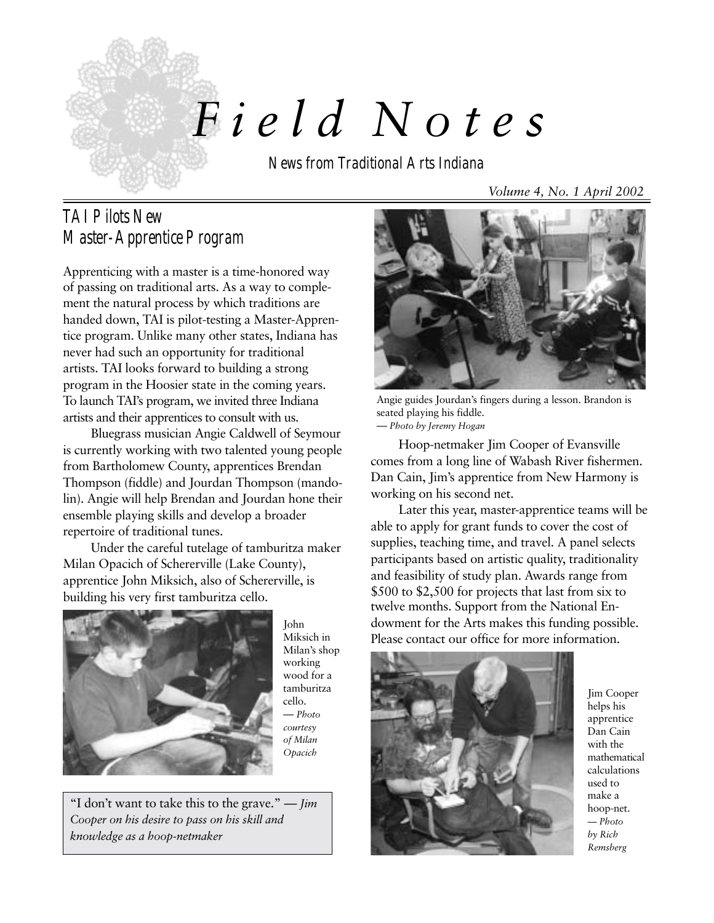

# *F i e l d Notes*

News from Traditional Arts Indiana

# TAI Pilots New Master-Apprentice Program

Apprenticing with a master is a time-honored way of passing on traditional arts. As a way to complement the natural process by which traditions are handed down, TAI is pilot-testing a Master-Apprentice program. Unlike many other states, Indiana has never had such an opportunity for traditional artists. TAI looks forward to building a strong program in the Hoosier state in the coming years. To launch TAI's program, we invited three Indiana artists and their apprentices to consult with us.

Bluegrass musician Angie Caldwell of Seymour is currently working with two talented young people from Bartholomew County, apprentices Brendan Thompson (fiddle) and Jourdan Thompson (mandolin). Angie will help Brendan and Jourdan hone their ensemble playing skills and develop a broader repertoire of traditional tunes.

Under the careful tutelage of tamburitza maker Milan Opacich of Schererville (Lake County), apprentice John Miksich, also of Schererville, is building his very first tamburitza cello.



John Miksich in Milan's shop working wood for a tamburitza cello. — *Photo courtesy of Milan Opacich*

"I don't want to take this to the grave." — *Jim Cooper on his desire to pass on his skill and knowledge as a hoop-netmaker*

Angie guides Jourdan's fingers during a lesson. Brandon is seated playing his fiddle. — *Photo by Jeremy Hogan*

Hoop-netmaker Jim Cooper of Evansville comes from a long line of Wabash River fishermen. Dan Cain, Jim's apprentice from New Harmony is working on his second net.

Later this year, master-apprentice teams will be able to apply for grant funds to cover the cost of supplies, teaching time, and travel. A panel selects participants based on artistic quality, traditionality and feasibility of study plan. Awards range from \$500 to \$2,500 for projects that last from six to twelve months. Support from the National Endowment for the Arts makes this funding possible. Please contact our office for more information.



Jim Cooper helps his apprentice Dan Cain with the mathematical calculations used to make a hoop-net. *— Photo by Rich Remsberg*

*Volume 4, No. 1 April 2002*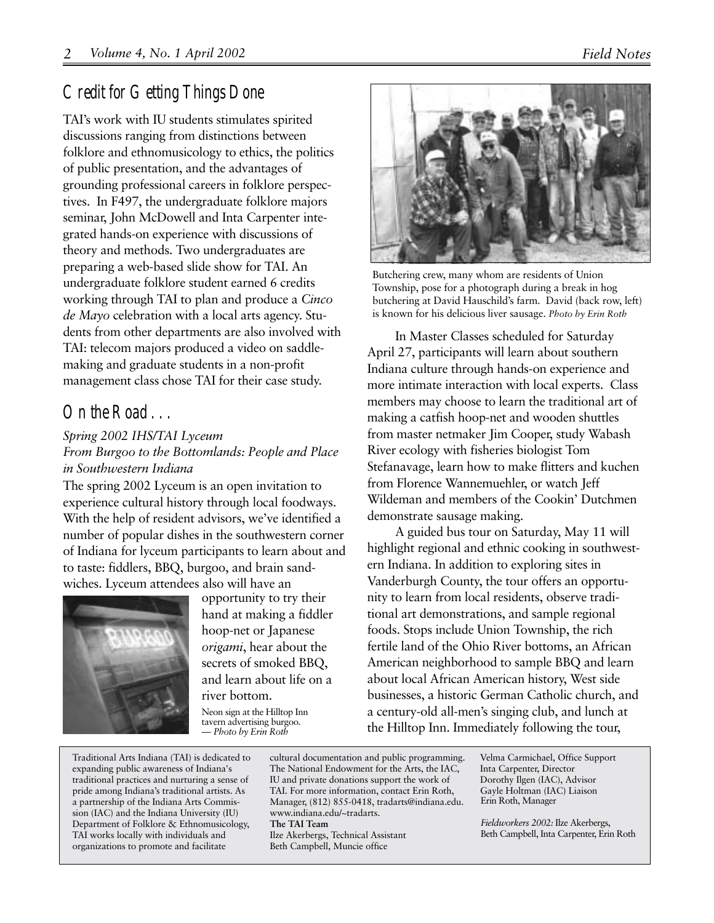# Credit for Getting Things Done

TAI's work with IU students stimulates spirited discussions ranging from distinctions between folklore and ethnomusicology to ethics, the politics of public presentation, and the advantages of grounding professional careers in folklore perspectives. In F497, the undergraduate folklore majors seminar, John McDowell and Inta Carpenter integrated hands-on experience with discussions of theory and methods. Two undergraduates are preparing a web-based slide show for TAI. An undergraduate folklore student earned 6 credits working through TAI to plan and produce a *Cinco de Mayo* celebration with a local arts agency. Students from other departments are also involved with TAI: telecom majors produced a video on saddlemaking and graduate students in a non-profit management class chose TAI for their case study.

# On the Road . . .

#### *Spring 2002 IHS/TAI Lyceum*

*From Burgoo to the Bottomlands: People and Place in Southwestern Indiana*

The spring 2002 Lyceum is an open invitation to experience cultural history through local foodways. With the help of resident advisors, we've identified a number of popular dishes in the southwestern corner of Indiana for lyceum participants to learn about and to taste: fiddlers, BBQ, burgoo, and brain sandwiches. Lyceum attendees also will have an



opportunity to try their hand at making a fiddler hoop-net or Japanese *origami*, hear about the secrets of smoked BBQ, and learn about life on a river bottom.

Neon sign at the Hilltop Inn tavern advertising burgoo. *— Photo by Erin Roth*

Butchering crew, many whom are residents of Union Township, pose for a photograph during a break in hog butchering at David Hauschild's farm. David (back row, left) is known for his delicious liver sausage. *Photo by Erin Roth*

In Master Classes scheduled for Saturday April 27, participants will learn about southern Indiana culture through hands-on experience and more intimate interaction with local experts. Class members may choose to learn the traditional art of making a catfish hoop-net and wooden shuttles from master netmaker Jim Cooper, study Wabash River ecology with fisheries biologist Tom Stefanavage, learn how to make flitters and kuchen from Florence Wannemuehler, or watch Jeff Wildeman and members of the Cookin' Dutchmen demonstrate sausage making.

A guided bus tour on Saturday, May 11 will highlight regional and ethnic cooking in southwestern Indiana. In addition to exploring sites in Vanderburgh County, the tour offers an opportunity to learn from local residents, observe traditional art demonstrations, and sample regional foods. Stops include Union Township, the rich fertile land of the Ohio River bottoms, an African American neighborhood to sample BBQ and learn about local African American history, West side businesses, a historic German Catholic church, and a century-old all-men's singing club, and lunch at the Hilltop Inn. Immediately following the tour,

Traditional Arts Indiana (TAI) is dedicated to expanding public awareness of Indiana's traditional practices and nurturing a sense of pride among Indiana's traditional artists. As a partnership of the Indiana Arts Commission (IAC) and the Indiana University (IU) Department of Folklore & Ethnomusicology, TAI works locally with individuals and organizations to promote and facilitate

cultural documentation and public programming. The National Endowment for the Arts, the IAC, IU and private donations support the work of TAI. For more information, contact Erin Roth, Manager, (812) 855-0418, tradarts@indiana.edu. www.indiana.edu/~tradarts. **The TAI Team** Ilze Akerbergs, Technical Assistant Beth Campbell, Muncie office

Erin Roth, Manager Velma Carmichael, Office Support Inta Carpenter, Director Dorothy Ilgen (IAC), Advisor Gayle Holtman (IAC) Liaison

*Fieldworkers 2002:* Ilze Akerbergs, Beth Campbell, Inta Carpenter, Erin Roth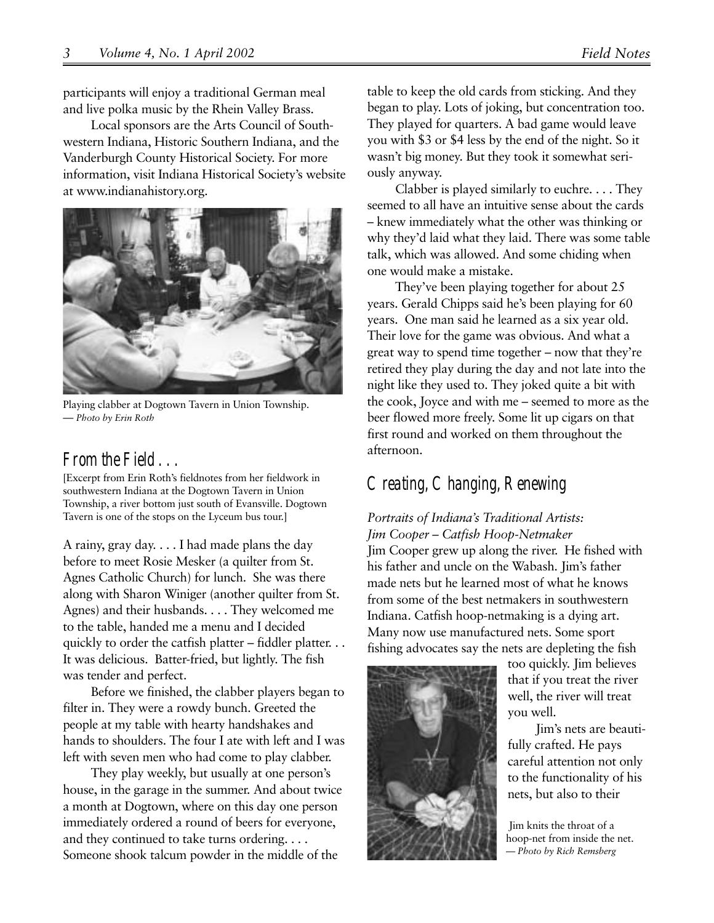participants will enjoy a traditional German meal and live polka music by the Rhein Valley Brass.

Local sponsors are the Arts Council of Southwestern Indiana, Historic Southern Indiana, and the Vanderburgh County Historical Society. For more information, visit Indiana Historical Society's website at www.indianahistory.org.



Playing clabber at Dogtown Tavern in Union Township. — *Photo by Erin Roth*

### From the Field ...

[Excerpt from Erin Roth's fieldnotes from her fieldwork in southwestern Indiana at the Dogtown Tavern in Union Township, a river bottom just south of Evansville. Dogtown Tavern is one of the stops on the Lyceum bus tour.]

A rainy, gray day. . . . I had made plans the day before to meet Rosie Mesker (a quilter from St. Agnes Catholic Church) for lunch. She was there along with Sharon Winiger (another quilter from St. Agnes) and their husbands. . . . They welcomed me to the table, handed me a menu and I decided quickly to order the catfish platter – fiddler platter. . . It was delicious. Batter-fried, but lightly. The fish was tender and perfect.

Before we finished, the clabber players began to filter in. They were a rowdy bunch. Greeted the people at my table with hearty handshakes and hands to shoulders. The four I ate with left and I was left with seven men who had come to play clabber.

They play weekly, but usually at one person's house, in the garage in the summer. And about twice a month at Dogtown, where on this day one person immediately ordered a round of beers for everyone, and they continued to take turns ordering. . . . Someone shook talcum powder in the middle of the

table to keep the old cards from sticking. And they began to play. Lots of joking, but concentration too. They played for quarters. A bad game would leave you with \$3 or \$4 less by the end of the night. So it wasn't big money. But they took it somewhat seriously anyway.

Clabber is played similarly to euchre. . . . They seemed to all have an intuitive sense about the cards – knew immediately what the other was thinking or why they'd laid what they laid. There was some table talk, which was allowed. And some chiding when one would make a mistake.

They've been playing together for about 25 years. Gerald Chipps said he's been playing for 60 years. One man said he learned as a six year old. Their love for the game was obvious. And what a great way to spend time together – now that they're retired they play during the day and not late into the night like they used to. They joked quite a bit with the cook, Joyce and with me – seemed to more as the beer flowed more freely. Some lit up cigars on that first round and worked on them throughout the afternoon.

## Creating, Changing, Renewing

#### *Portraits of Indiana's Traditional Artists: Jim Cooper – Catfish Hoop-Netmaker*

Jim Cooper grew up along the river. He fished with his father and uncle on the Wabash. Jim's father made nets but he learned most of what he knows from some of the best netmakers in southwestern Indiana. Catfish hoop-netmaking is a dying art. Many now use manufactured nets. Some sport fishing advocates say the nets are depleting the fish



too quickly. Jim believes that if you treat the river well, the river will treat you well.

Jim's nets are beautifully crafted. He pays careful attention not only to the functionality of his nets, but also to their

 Jim knits the throat of a hoop-net from inside the net. — *Photo by Rich Remsberg*